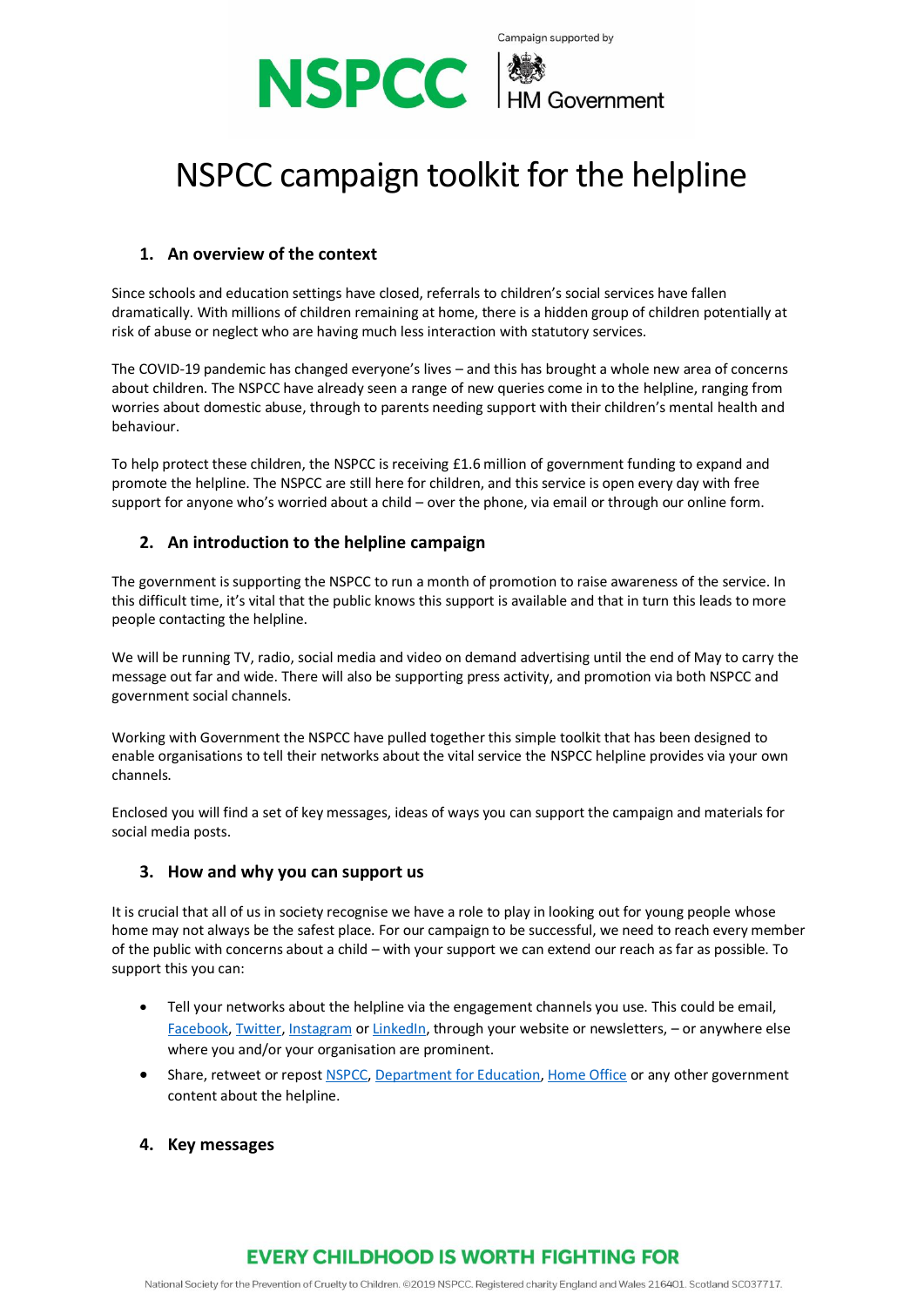

# NSPCC campaign toolkit for the helpline

## **1. An overview of the context**

Since schools and education settings have closed, referrals to children's social services have fallen dramatically. With millions of children remaining at home, there is a hidden group of children potentially at risk of abuse or neglect who are having much less interaction with statutory services.

The COVID-19 pandemic has changed everyone's lives – and this has brought a whole new area of concerns about children. The NSPCC have already seen a range of new queries come in to the helpline, ranging from worries about domestic abuse, through to parents needing support with their children's mental health and behaviour.

To help protect these children, the NSPCC is receiving £1.6 million of government funding to expand and promote the helpline. The NSPCC are still here for children, and this service is open every day with free support for anyone who's worried about a child – over the phone, via email or through our online form.

## **2. An introduction to the helpline campaign**

The government is supporting the NSPCC to run a month of promotion to raise awareness of the service. In this difficult time, it's vital that the public knows this support is available and that in turn this leads to more people contacting the helpline.

We will be running TV, radio, social media and video on demand advertising until the end of May to carry the message out far and wide. There will also be supporting press activity, and promotion via both NSPCC and government social channels.

Working with Government the NSPCC have pulled together this simple toolkit that has been designed to enable organisations to tell their networks about the vital service the NSPCC helpline provides via your own channels.

Enclosed you will find a set of key messages, ideas of ways you can support the campaign and materials for social media posts.

### **3. How and why you can support us**

It is crucial that all of us in society recognise we have a role to play in looking out for young people whose home may not always be the safest place. For our campaign to be successful, we need to reach every member of the public with concerns about a child – with your support we can extend our reach as far as possible. To support this you can:

- Tell your networks about the helpline via the engagement channels you use. This could be email, [Facebook,](https://www.facebook.com/) [Twitter,](https://twitter.com/home) [Instagram](https://www.instagram.com/) o[r LinkedIn,](https://www.linkedin.com/) through your website or newsletters, - or anywhere else where you and/or your organisation are prominent.
- Share, retweet or repost [NSPCC,](https://twitter.com/NSPCC) [Department for Education,](https://twitter.com/educationgovuk) [Home Office](https://twitter.com/ukhomeoffice) or any other government content about the helpline.
- **4. Key messages**

# **EVERY CHILDHOOD IS WORTH FIGHTING FOR**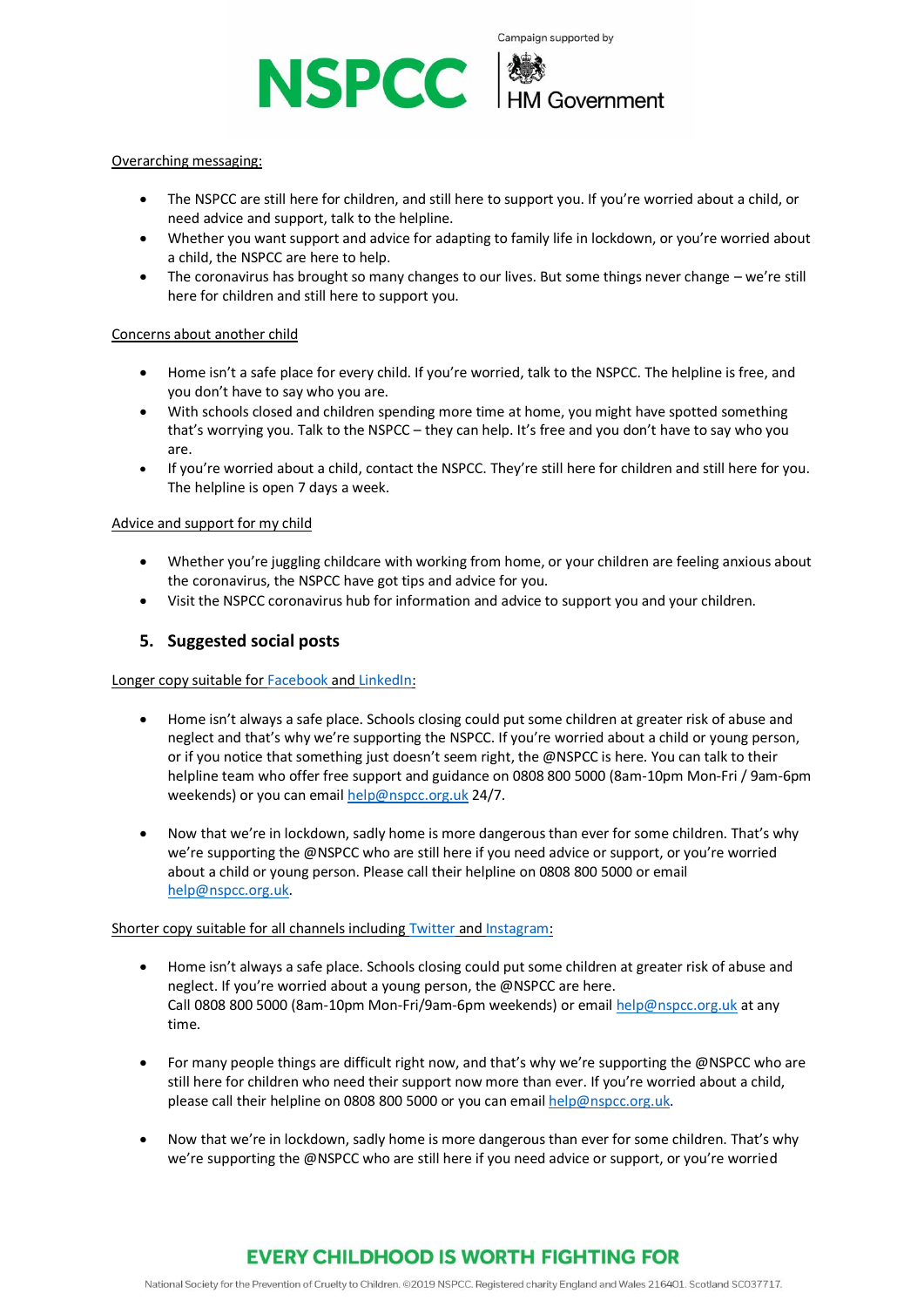

#### Overarching messaging:

- The NSPCC are still here for children, and still here to support you. If you're worried about a child, or need advice and support, talk to the helpline.
- Whether you want support and advice for adapting to family life in lockdown, or you're worried about a child, the NSPCC are here to help.
- The coronavirus has brought so many changes to our lives. But some things never change we're still here for children and still here to support you.

#### Concerns about another child

- Home isn't a safe place for every child. If you're worried, talk to the NSPCC. The helpline is free, and you don't have to say who you are.
- With schools closed and children spending more time at home, you might have spotted something that's worrying you. Talk to the NSPCC – they can help. It's free and you don't have to say who you are.
- If you're worried about a child, contact the NSPCC. They're still here for children and still here for you. The helpline is open 7 days a week.

#### Advice and support for my child

- Whether you're juggling childcare with working from home, or your children are feeling anxious about the coronavirus, the NSPCC have got tips and advice for you.
- Visit the NSPCC coronavirus hub for information and advice to support you and your children.

## **5. Suggested social posts**

#### Longer copy suitable fo[r Facebook](https://www.facebook.com/) an[d LinkedIn:](https://www.linkedin.com/)

- Home isn't always a safe place. Schools closing could put some children at greater risk of abuse and neglect and that's why we're supporting the NSPCC. If you're worried about a child or young person, or if you notice that something just doesn't seem right, the @NSPCC is here. You can talk to their helpline team who offer free support and guidance on 0808 800 5000 (8am-10pm Mon-Fri / 9am-6pm weekends) or you can email [help@nspcc.org.uk](mailto:help@nspcc.org.uk) 24/7.
- Now that we're in lockdown, sadly home is more dangerous than ever for some children. That's why we're supporting the @NSPCC who are still here if you need advice or support, or you're worried about a child or young person. Please call their helpline on 0808 800 5000 or email [help@nspcc.org.uk.](mailto:help@nspcc.org.uk)

#### Shorter copy suitable for all channels includin[g Twitter](https://twitter.com/home) and [Instagram:](https://www.instagram.com/)

- Home isn't always a safe place. Schools closing could put some children at greater risk of abuse and neglect. If you're worried about a young person, the @NSPCC are here. Call 0808 800 5000 (8am-10pm Mon-Fri/9am-6pm weekends) or email [help@nspcc.org.uk](mailto:help@nspcc.org.uk) at any time.
- For many people things are difficult right now, and that's why we're supporting the @NSPCC who are still here for children who need their support now more than ever. If you're worried about a child, please call their helpline on 0808 800 5000 or you can emai[l help@nspcc.org.uk.](mailto:help@nspcc.org.uk)
- Now that we're in lockdown, sadly home is more dangerous than ever for some children. That's why we're supporting the @NSPCC who are still here if you need advice or support, or you're worried

# **EVERY CHILDHOOD IS WORTH FIGHTING FOR**